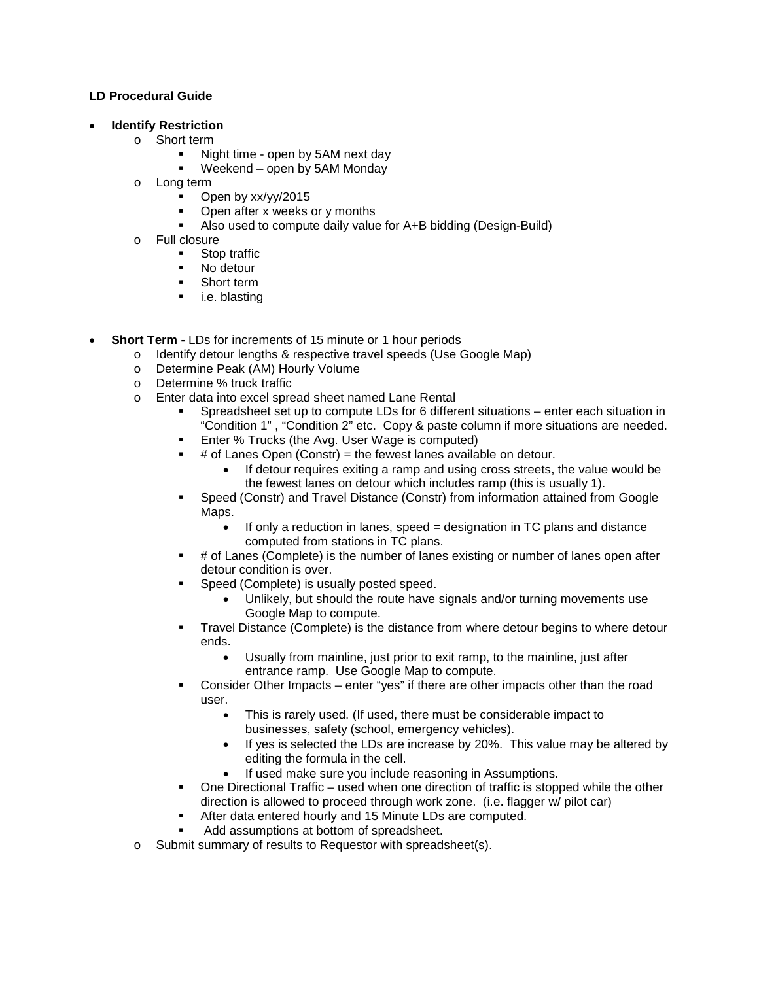## **LD Procedural Guide**

## • **Identify Restriction**

- o Short term
	- Night time open by 5AM next day
	- Weekend open by 5AM Monday
- o Long term
	- Open by xx/yy/2015
	- Open after x weeks or y months
	- Also used to compute daily value for A+B bidding (Design-Build)
- o Full closure
	- Stop traffic<br>No detour
	- No detour
	- **Short term**
	- **i.e. blasting**
- **Short Term -** LDs for increments of 15 minute or 1 hour periods
	- o Identify detour lengths & respective travel speeds (Use Google Map)
	- Determine Peak (AM) Hourly Volume<br>○ Determine % truck traffic
	- Determine % truck traffic
	- o Enter data into excel spread sheet named Lane Rental
		- Spreadsheet set up to compute LDs for 6 different situations enter each situation in "Condition 1" , "Condition 2" etc. Copy & paste column if more situations are needed.
		- Enter % Trucks (the Avg. User Wage is computed)
		- # of Lanes Open (Constr) = the fewest lanes available on detour.
			- If detour requires exiting a ramp and using cross streets, the value would be the fewest lanes on detour which includes ramp (this is usually 1).
		- Speed (Constr) and Travel Distance (Constr) from information attained from Google Maps.
			- If only a reduction in lanes, speed = designation in TC plans and distance computed from stations in TC plans.
		- # of Lanes (Complete) is the number of lanes existing or number of lanes open after detour condition is over.
		- Speed (Complete) is usually posted speed.
			- Unlikely, but should the route have signals and/or turning movements use Google Map to compute.
		- Travel Distance (Complete) is the distance from where detour begins to where detour ends.
			- Usually from mainline, just prior to exit ramp, to the mainline, just after entrance ramp. Use Google Map to compute.
		- Consider Other Impacts enter "yes" if there are other impacts other than the road user.
			- This is rarely used. (If used, there must be considerable impact to businesses, safety (school, emergency vehicles).
			- If yes is selected the LDs are increase by 20%. This value may be altered by editing the formula in the cell.
			- If used make sure you include reasoning in Assumptions.
		- One Directional Traffic used when one direction of traffic is stopped while the other direction is allowed to proceed through work zone. (i.e. flagger w/ pilot car)
		- After data entered hourly and 15 Minute LDs are computed.
		- Add assumptions at bottom of spreadsheet.
	- o Submit summary of results to Requestor with spreadsheet(s).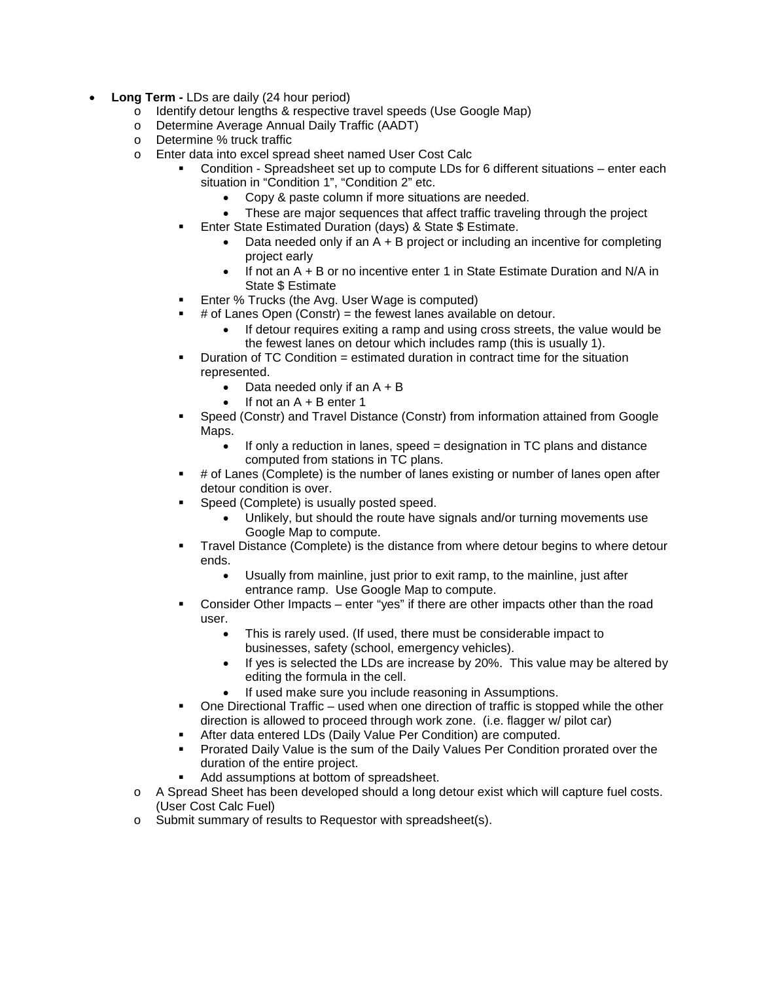- **Long Term -** LDs are daily (24 hour period)
	- o Identify detour lengths & respective travel speeds (Use Google Map)
	- o Determine Average Annual Daily Traffic (AADT)
	- o Determine % truck traffic
	- o Enter data into excel spread sheet named User Cost Calc
		- Condition Spreadsheet set up to compute LDs for 6 different situations enter each situation in "Condition 1", "Condition 2" etc.
			- Copy & paste column if more situations are needed.
				- These are major sequences that affect traffic traveling through the project
			- Enter State Estimated Duration (days) & State \$ Estimate.
				- Data needed only if an A + B project or including an incentive for completing project early
				- If not an A + B or no incentive enter 1 in State Estimate Duration and N/A in State \$ Estimate
		- Enter % Trucks (the Avg. User Wage is computed)
		- # of Lanes Open (Constr) = the fewest lanes available on detour.
			- If detour requires exiting a ramp and using cross streets, the value would be the fewest lanes on detour which includes ramp (this is usually 1).
		- **Duration of TC Condition = estimated duration in contract time for the situation** represented.
			- Data needed only if an  $A + B$
			- $\bullet$  If not an  $A + B$  enter 1
		- Speed (Constr) and Travel Distance (Constr) from information attained from Google Maps.
			- If only a reduction in lanes, speed = designation in TC plans and distance computed from stations in TC plans.
		- # of Lanes (Complete) is the number of lanes existing or number of lanes open after detour condition is over.
		- **Speed (Complete) is usually posted speed.** 
			- Unlikely, but should the route have signals and/or turning movements use Google Map to compute.
		- Travel Distance (Complete) is the distance from where detour begins to where detour ends.
			- Usually from mainline, just prior to exit ramp, to the mainline, just after entrance ramp. Use Google Map to compute.
		- Consider Other Impacts enter "yes" if there are other impacts other than the road user.
			- This is rarely used. (If used, there must be considerable impact to businesses, safety (school, emergency vehicles).
			- If yes is selected the LDs are increase by 20%. This value may be altered by editing the formula in the cell.
			- If used make sure you include reasoning in Assumptions.
		- One Directional Traffic used when one direction of traffic is stopped while the other direction is allowed to proceed through work zone. (i.e. flagger w/ pilot car)
		- After data entered LDs (Daily Value Per Condition) are computed.
		- Prorated Daily Value is the sum of the Daily Values Per Condition prorated over the duration of the entire project.
		- Add assumptions at bottom of spreadsheet.
	- o A Spread Sheet has been developed should a long detour exist which will capture fuel costs. (User Cost Calc Fuel)
	- o Submit summary of results to Requestor with spreadsheet(s).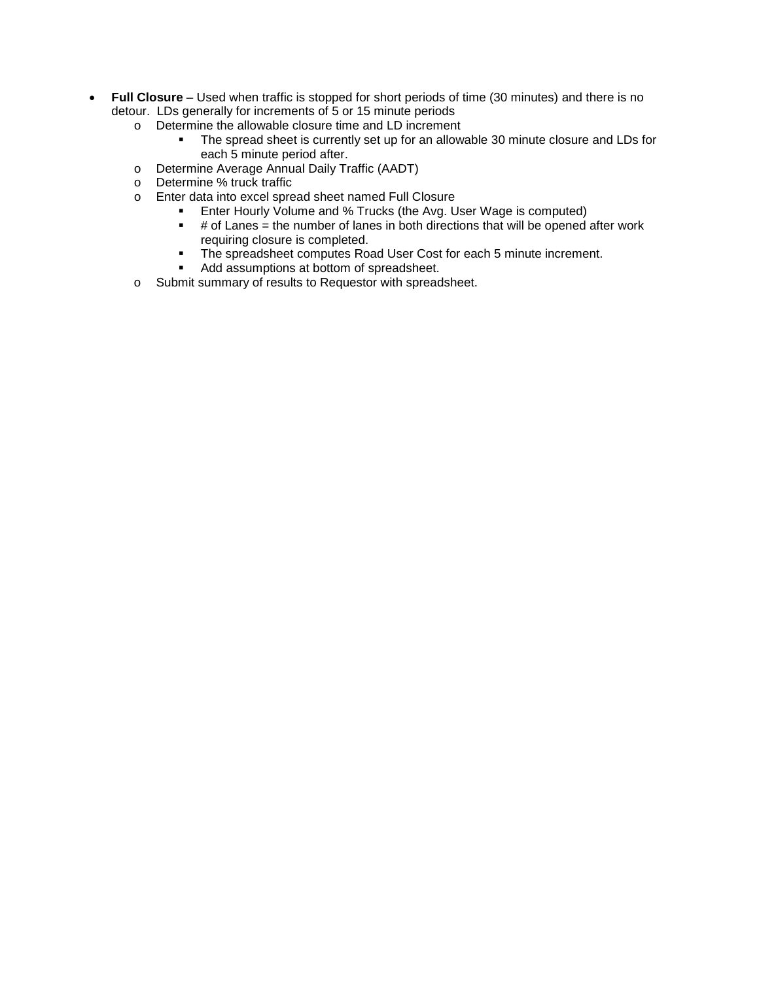- **Full Closure**  Used when traffic is stopped for short periods of time (30 minutes) and there is no detour. LDs generally for increments of 5 or 15 minute periods
	- o Determine the allowable closure time and LD increment<br>The spread sheet is currently set up for an allow
		- The spread sheet is currently set up for an allowable 30 minute closure and LDs for each 5 minute period after.
	- o Determine Average Annual Daily Traffic (AADT)
	- o Determine % truck traffic
	- o Enter data into excel spread sheet named Full Closure
		- Enter Hourly Volume and % Trucks (the Avg. User Wage is computed)<br>■ # of Lanes = the number of lanes in both directions that will be opened
		- # of Lanes = the number of lanes in both directions that will be opened after work requiring closure is completed.
		- The spreadsheet computes Road User Cost for each 5 minute increment.<br>Add assumptions at bottom of spreadsheet
		- Add assumptions at bottom of spreadsheet.
	- o Submit summary of results to Requestor with spreadsheet.